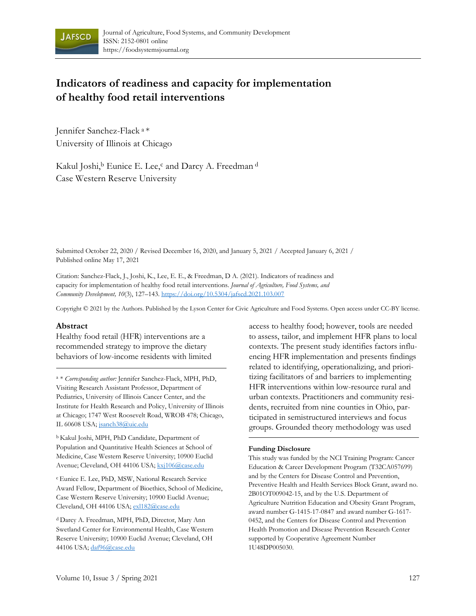

# **Indicators of readiness and capacity for implementation of healthy food retail interventions**

Jennifer Sanchez-Flack a \* University of Illinois at Chicago

Kakul Joshi,<sup>b</sup> Eunice E. Lee,<sup>c</sup> and Darcy A. Freedman d Case Western Reserve University

Submitted October 22, 2020 / Revised December 16, 2020, and January 5, 2021 / Accepted January 6, 2021 / Published online May 17, 2021

Citation: Sanchez-Flack, J., Joshi, K., Lee, E. E., & Freedman, D A. (2021). Indicators of readiness and capacity for implementation of healthy food retail interventions. *Journal of Agriculture, Food Systems, and Community Development, 10*(3), 127–143. https://doi.org/10.5304/jafscd.2021.103.007

Copyright © 2021 by the Authors. Published by the Lyson Center for Civic Agriculture and Food Systems. Open access under CC-BY license.

#### **Abstract**

Healthy food retail (HFR) interventions are a recommended strategy to improve the dietary behaviors of low-income residents with limited

<sup>a</sup> \* *Corresponding author:* Jennifer Sanchez-Flack, MPH, PhD, Visiting Research Assistant Professor, Department of Pediatrics, University of Illinois Cancer Center, and the Institute for Health Research and Policy, University of Illinois at Chicago; 1747 West Roosevelt Road, WROB 478; Chicago, IL 60608 USA; jsanch38@uic.edu

b Kakul Joshi, MPH, PhD Candidate, Department of Population and Quantitative Health Sciences at School of Medicine, Case Western Reserve University; 10900 Euclid Avenue; Cleveland, OH 44106 USA; kxj106@case.edu

c Eunice E. Lee, PhD, MSW, National Research Service Award Fellow, Department of Bioethics, School of Medicine, Case Western Reserve University; 10900 Euclid Avenue; Cleveland, OH 44106 USA; exl182@case.edu

d Darcy A. Freedman, MPH, PhD, Director, Mary Ann Swetland Center for Environmental Health, Case Western Reserve University; 10900 Euclid Avenue; Cleveland, OH 44106 USA; daf96@case.edu

access to healthy food; however, tools are needed to assess, tailor, and implement HFR plans to local contexts. The present study identifies factors influencing HFR implementation and presents findings related to identifying, operationalizing, and prioritizing facilitators of and barriers to implementing HFR interventions within low-resource rural and urban contexts. Practitioners and community residents, recruited from nine counties in Ohio, participated in semistructured interviews and focus groups. Grounded theory methodology was used

#### **Funding Disclosure**

This study was funded by the NCI Training Program: Cancer Education & Career Development Program (T32CA057699) and by the Centers for Disease Control and Prevention, Preventive Health and Health Services Block Grant, award no. 2B01OT009042-15, and by the U.S. Department of Agriculture Nutrition Education and Obesity Grant Program, award number G-1415-17-0847 and award number G-1617- 0452, and the Centers for Disease Control and Prevention Health Promotion and Disease Prevention Research Center supported by Cooperative Agreement Number 1U48DP005030.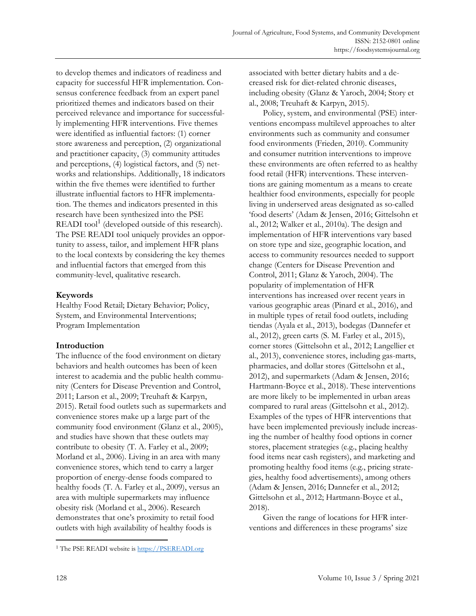to develop themes and indicators of readiness and capacity for successful HFR implementation. Consensus conference feedback from an expert panel prioritized themes and indicators based on their perceived relevance and importance for successfully implementing HFR interventions. Five themes were identified as influential factors: (1) corner store awareness and perception, (2) organizational and practitioner capacity, (3) community attitudes and perceptions, (4) logistical factors, and (5) networks and relationships. Additionally, 18 indicators within the five themes were identified to further illustrate influential factors to HFR implementation. The themes and indicators presented in this research have been synthesized into the PSE READI tool<sup>1</sup> (developed outside of this research). The PSE READI tool uniquely provides an opportunity to assess, tailor, and implement HFR plans to the local contexts by considering the key themes and influential factors that emerged from this community-level, qualitative research.

# **Keywords**

Healthy Food Retail; Dietary Behavior; Policy, System, and Environmental Interventions; Program Implementation

# **Introduction**

The influence of the food environment on dietary behaviors and health outcomes has been of keen interest to academia and the public health community (Centers for Disease Prevention and Control, 2011; Larson et al., 2009; Treuhaft & Karpyn, 2015). Retail food outlets such as supermarkets and convenience stores make up a large part of the community food environment (Glanz et al., 2005), and studies have shown that these outlets may contribute to obesity (T. A. Farley et al., 2009; Morland et al., 2006). Living in an area with many convenience stores, which tend to carry a larger proportion of energy-dense foods compared to healthy foods (T. A. Farley et al., 2009), versus an area with multiple supermarkets may influence obesity risk (Morland et al., 2006). Research demonstrates that one's proximity to retail food outlets with high availability of healthy foods is

associated with better dietary habits and a decreased risk for diet-related chronic diseases, including obesity (Glanz & Yaroch, 2004; Story et al., 2008; Treuhaft & Karpyn, 2015).

 Policy, system, and environmental (PSE) interventions encompass multilevel approaches to alter environments such as community and consumer food environments (Frieden, 2010). Community and consumer nutrition interventions to improve these environments are often referred to as healthy food retail (HFR) interventions. These interventions are gaining momentum as a means to create healthier food environments, especially for people living in underserved areas designated as so-called 'food deserts' (Adam & Jensen, 2016; Gittelsohn et al., 2012; Walker et al., 2010a). The design and implementation of HFR interventions vary based on store type and size, geographic location, and access to community resources needed to support change (Centers for Disease Prevention and Control, 2011; Glanz & Yaroch, 2004). The popularity of implementation of HFR interventions has increased over recent years in various geographic areas (Pinard et al., 2016), and in multiple types of retail food outlets, including tiendas (Ayala et al., 2013), bodegas (Dannefer et al., 2012), green carts (S. M. Farley et al., 2015), corner stores (Gittelsohn et al., 2012; Langellier et al., 2013), convenience stores, including gas-marts, pharmacies, and dollar stores (Gittelsohn et al., 2012), and supermarkets (Adam & Jensen, 2016; Hartmann-Boyce et al., 2018). These interventions are more likely to be implemented in urban areas compared to rural areas (Gittelsohn et al., 2012). Examples of the types of HFR interventions that have been implemented previously include increasing the number of healthy food options in corner stores, placement strategies (e.g., placing healthy food items near cash registers), and marketing and promoting healthy food items (e.g., pricing strategies, healthy food advertisements), among others (Adam & Jensen, 2016; Dannefer et al., 2012; Gittelsohn et al., 2012; Hartmann-Boyce et al., 2018).

 Given the range of locations for HFR interventions and differences in these programs' size

<sup>&</sup>lt;sup>1</sup> The PSE READI website is https://PSEREADI.org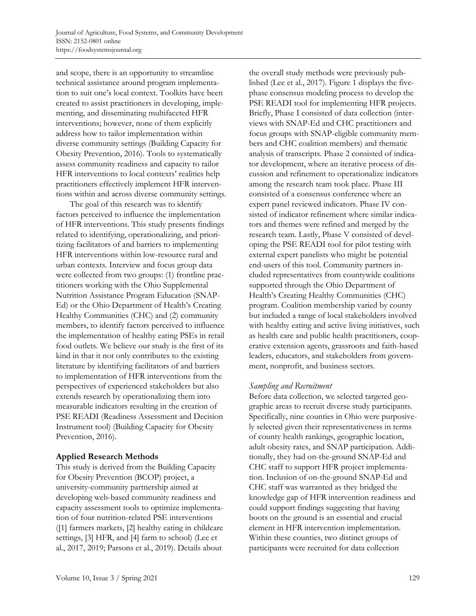and scope, there is an opportunity to streamline technical assistance around program implementation to suit one's local context. Toolkits have been created to assist practitioners in developing, implementing, and disseminating multifaceted HFR interventions; however, none of them explicitly address how to tailor implementation within diverse community settings (Building Capacity for Obesity Prevention, 2016). Tools to systematically assess community readiness and capacity to tailor HFR interventions to local contexts' realities help practitioners effectively implement HFR interventions within and across diverse community settings.

 The goal of this research was to identify factors perceived to influence the implementation of HFR interventions. This study presents findings related to identifying, operationalizing, and prioritizing facilitators of and barriers to implementing HFR interventions within low-resource rural and urban contexts. Interview and focus group data were collected from two groups: (1) frontline practitioners working with the Ohio Supplemental Nutrition Assistance Program Education (SNAP-Ed) or the Ohio Department of Health's Creating Healthy Communities (CHC) and (2) community members, to identify factors perceived to influence the implementation of healthy eating PSEs in retail food outlets. We believe our study is the first of its kind in that it not only contributes to the existing literature by identifying facilitators of and barriers to implementation of HFR interventions from the perspectives of experienced stakeholders but also extends research by operationalizing them into measurable indicators resulting in the creation of PSE READI (Readiness Assessment and Decision Instrument tool) (Building Capacity for Obesity Prevention, 2016).

### **Applied Research Methods**

This study is derived from the Building Capacity for Obesity Prevention (BCOP) project, a university-community partnership aimed at developing web-based community readiness and capacity assessment tools to optimize implementation of four nutrition-related PSE interventions ([1] farmers markets, [2] healthy eating in childcare settings, [3] HFR, and [4] farm to school) (Lee et al., 2017, 2019; Parsons et al., 2019). Details about

the overall study methods were previously published (Lee et al., 2017). Figure 1 displays the fivephase consensus modeling process to develop the PSE READI tool for implementing HFR projects. Briefly, Phase I consisted of data collection (interviews with SNAP-Ed and CHC practitioners and focus groups with SNAP-eligible community members and CHC coalition members) and thematic analysis of transcripts. Phase 2 consisted of indicator development, where an iterative process of discussion and refinement to operationalize indicators among the research team took place. Phase III consisted of a consensus conference where an expert panel reviewed indicators. Phase IV consisted of indicator refinement where similar indicators and themes were refined and merged by the research team. Lastly, Phase V consisted of developing the PSE READI tool for pilot testing with external expert panelists who might be potential end-users of this tool. Community partners included representatives from countywide coalitions supported through the Ohio Department of Health's Creating Healthy Communities (CHC) program. Coalition membership varied by county but included a range of local stakeholders involved with healthy eating and active living initiatives, such as health care and public health practitioners, cooperative extension agents, grassroots and faith-based leaders, educators, and stakeholders from government, nonprofit, and business sectors.

### *Sampling and Recruitment*

Before data collection, we selected targeted geographic areas to recruit diverse study participants. Specifically, nine counties in Ohio were purposively selected given their representativeness in terms of county health rankings, geographic location, adult obesity rates, and SNAP participation. Additionally, they had on-the-ground SNAP-Ed and CHC staff to support HFR project implementation. Inclusion of on-the-ground SNAP-Ed and CHC staff was warranted as they bridged the knowledge gap of HFR intervention readiness and could support findings suggesting that having boots on the ground is an essential and crucial element in HFR intervention implementation. Within these counties, two distinct groups of participants were recruited for data collection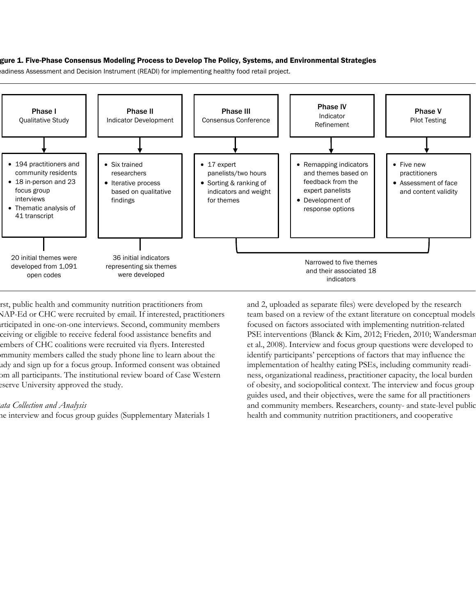#### gure 1. Five-Phase Consensus Modeling Process to Develop The Policy, Systems, and Environmental Strategies

eadiness Assessment and Decision Instrument (READI) for implementing healthy food retail project.



rst, public health and community nutrition practitioners from NAP-Ed or CHC were recruited by email. If interested, practitioners articipated in one-on-one interviews. Second, community members ceiving or eligible to receive federal food assistance benefits and embers of CHC coalitions were recruited via flyers. Interested ommunity members called the study phone line to learn about the udy and sign up for a focus group. Informed consent was obtained om all participants. The institutional review board of Case Western eserve University approved the study.

#### *Data Collection and Analysis*

he interview and focus group guides (Supplementary Materials 1

and 2, uploaded as separate files) were developed by the research team based on a review of the extant literature on conceptual models focused on factors associated with implementing nutrition-related PSE interventions (Blanck & Kim, 2012; Frieden, 2010; Wandersman et al., 2008). Interview and focus group questions were developed to identify participants' perceptions of factors that may influence the implementation of healthy eating PSEs, including community readiness, organizational readiness, practitioner capacity, the local burden of obesity, and sociopolitical context. The interview and focus group guides used, and their objectives, were the same for all practitioners and community members. Researchers, county- and state-level public health and community nutrition practitioners, and cooperative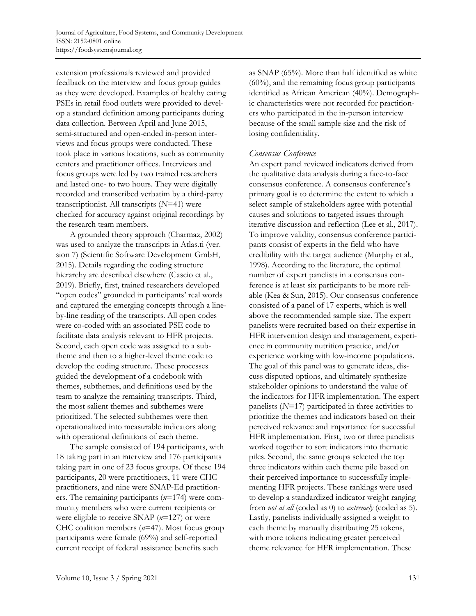extension professionals reviewed and provided feedback on the interview and focus group guides as they were developed. Examples of healthy eating PSEs in retail food outlets were provided to develop a standard definition among participants during data collection. Between April and June 2015, semi-structured and open-ended in-person interviews and focus groups were conducted. These took place in various locations, such as community centers and practitioner offices. Interviews and focus groups were led by two trained researchers and lasted one- to two hours. They were digitally recorded and transcribed verbatim by a third-party transcriptionist. All transcripts (*N*=41) were checked for accuracy against original recordings by the research team members.

 A grounded theory approach (Charmaz, 2002) was used to analyze the transcripts in Atlas.ti (version 7) (Scientific Software Development GmbH, 2015). Details regarding the coding structure hierarchy are described elsewhere (Cascio et al., 2019). Briefly, first, trained researchers developed "open codes" grounded in participants' real words and captured the emerging concepts through a lineby-line reading of the transcripts. All open codes were co-coded with an associated PSE code to facilitate data analysis relevant to HFR projects. Second, each open code was assigned to a subtheme and then to a higher-level theme code to develop the coding structure. These processes guided the development of a codebook with themes, subthemes, and definitions used by the team to analyze the remaining transcripts. Third, the most salient themes and subthemes were prioritized. The selected subthemes were then operationalized into measurable indicators along with operational definitions of each theme.

 The sample consisted of 194 participants, with 18 taking part in an interview and 176 participants taking part in one of 23 focus groups. Of these 194 participants, 20 were practitioners, 11 were CHC practitioners, and nine were SNAP-Ed practitioners. The remaining participants (*n*=174) were community members who were current recipients or were eligible to receive SNAP (*n*=127) or were CHC coalition members (*n*=47). Most focus group participants were female (69%) and self-reported current receipt of federal assistance benefits such

as SNAP (65%). More than half identified as white (60%), and the remaining focus group participants identified as African American (40%). Demographic characteristics were not recorded for practitioners who participated in the in-person interview because of the small sample size and the risk of losing confidentiality.

### *Consensus Conference*

An expert panel reviewed indicators derived from the qualitative data analysis during a face-to-face consensus conference. A consensus conference's primary goal is to determine the extent to which a select sample of stakeholders agree with potential causes and solutions to targeted issues through iterative discussion and reflection (Lee et al., 2017). To improve validity, consensus conference participants consist of experts in the field who have credibility with the target audience (Murphy et al., 1998). According to the literature, the optimal number of expert panelists in a consensus conference is at least six participants to be more reliable (Kea & Sun, 2015). Our consensus conference consisted of a panel of 17 experts, which is well above the recommended sample size. The expert panelists were recruited based on their expertise in HFR intervention design and management, experience in community nutrition practice, and/or experience working with low-income populations. The goal of this panel was to generate ideas, discuss disputed options, and ultimately synthesize stakeholder opinions to understand the value of the indicators for HFR implementation. The expert panelists (*N*=17) participated in three activities to prioritize the themes and indicators based on their perceived relevance and importance for successful HFR implementation. First, two or three panelists worked together to sort indicators into thematic piles. Second, the same groups selected the top three indicators within each theme pile based on their perceived importance to successfully implementing HFR projects. These rankings were used to develop a standardized indicator weight ranging from *not at all* (coded as 0) to *extremely* (coded as 5). Lastly, panelists individually assigned a weight to each theme by manually distributing 25 tokens, with more tokens indicating greater perceived theme relevance for HFR implementation. These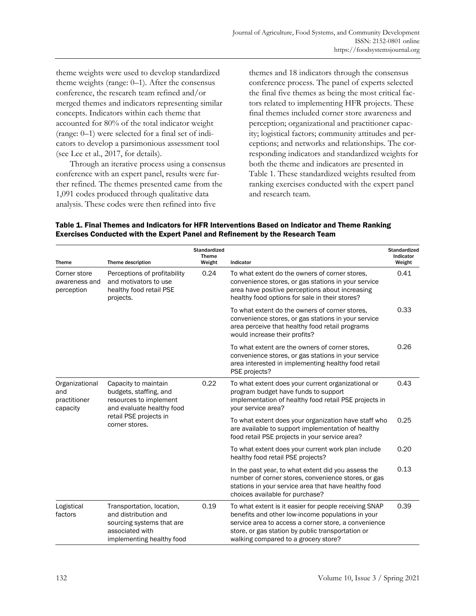theme weights were used to develop standardized theme weights (range: 0–1). After the consensus conference, the research team refined and/or merged themes and indicators representing similar concepts. Indicators within each theme that accounted for 80% of the total indicator weight (range: 0–1) were selected for a final set of indicators to develop a parsimonious assessment tool (see Lee et al., 2017, for details).

 Through an iterative process using a consensus conference with an expert panel, results were further refined. The themes presented came from the 1,091 codes produced through qualitative data analysis. These codes were then refined into five

implementing healthy food

themes and 18 indicators through the consensus conference process. The panel of experts selected the final five themes as being the most critical factors related to implementing HFR projects. These final themes included corner store awareness and perception; organizational and practitioner capacity; logistical factors; community attitudes and perceptions; and networks and relationships. The corresponding indicators and standardized weights for both the theme and indicators are presented in Table 1. These standardized weights resulted from ranking exercises conducted with the expert panel and research team.

| <b>Theme</b>                                      | Theme description                                                                                                                                 | <b>Standardized</b><br><b>Theme</b><br>Weight | Indicator                                                                                                                                                                                                               | <b>Standardized</b><br>Indicator<br>Weight |
|---------------------------------------------------|---------------------------------------------------------------------------------------------------------------------------------------------------|-----------------------------------------------|-------------------------------------------------------------------------------------------------------------------------------------------------------------------------------------------------------------------------|--------------------------------------------|
| Corner store<br>awareness and<br>perception       | Perceptions of profitability<br>and motivators to use<br>healthy food retail PSE<br>projects.                                                     | 0.24                                          | To what extent do the owners of corner stores.<br>convenience stores, or gas stations in your service<br>area have positive perceptions about increasing<br>healthy food options for sale in their stores?              | 0.41                                       |
|                                                   |                                                                                                                                                   |                                               | To what extent do the owners of corner stores,<br>convenience stores, or gas stations in your service<br>area perceive that healthy food retail programs<br>would increase their profits?                               | 0.33                                       |
|                                                   |                                                                                                                                                   |                                               | To what extent are the owners of corner stores,<br>convenience stores, or gas stations in your service<br>area interested in implementing healthy food retail<br>PSE projects?                                          | 0.26                                       |
| Organizational<br>and<br>practitioner<br>capacity | Capacity to maintain<br>budgets, staffing, and<br>resources to implement<br>and evaluate healthy food<br>retail PSE projects in<br>corner stores. | 0.22                                          | To what extent does your current organizational or<br>program budget have funds to support<br>implementation of healthy food retail PSE projects in<br>your service area?                                               | 0.43                                       |
|                                                   |                                                                                                                                                   |                                               | To what extent does your organization have staff who<br>are available to support implementation of healthy<br>food retail PSE projects in your service area?                                                            | 0.25                                       |
|                                                   |                                                                                                                                                   |                                               | To what extent does your current work plan include<br>healthy food retail PSE projects?                                                                                                                                 | 0.20                                       |
|                                                   |                                                                                                                                                   |                                               | In the past year, to what extent did you assess the<br>number of corner stores, convenience stores, or gas<br>stations in your service area that have healthy food<br>choices available for purchase?                   | 0.13                                       |
| Logistical<br>factors                             | Transportation, location,<br>and distribution and<br>sourcing systems that are<br>associated with                                                 | 0.19                                          | To what extent is it easier for people receiving SNAP<br>benefits and other low-income populations in your<br>service area to access a corner store, a convenience<br>store, or gas station by public transportation or | 0.39                                       |

walking compared to a grocery store?

#### Table 1. Final Themes and Indicators for HFR Interventions Based on Indicator and Theme Ranking Exercises Conducted with the Expert Panel and Refinement by the Research Team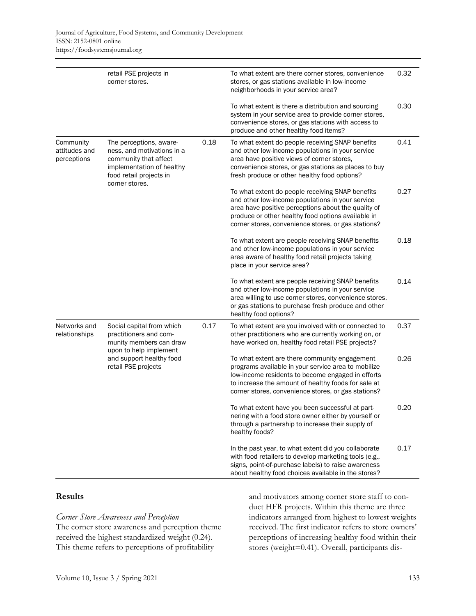|                                           | retail PSE projects in<br>corner stores.                                                                                                                    |      | To what extent are there corner stores, convenience<br>stores, or gas stations available in low-income<br>neighborhoods in your service area?                                                                                                                            | 0.32 |
|-------------------------------------------|-------------------------------------------------------------------------------------------------------------------------------------------------------------|------|--------------------------------------------------------------------------------------------------------------------------------------------------------------------------------------------------------------------------------------------------------------------------|------|
|                                           |                                                                                                                                                             |      | To what extent is there a distribution and sourcing<br>system in your service area to provide corner stores,<br>convenience stores, or gas stations with access to<br>produce and other healthy food items?                                                              | 0.30 |
| Community<br>attitudes and<br>perceptions | The perceptions, aware-<br>ness, and motivations in a<br>community that affect<br>implementation of healthy<br>food retail projects in<br>corner stores.    | 0.18 | To what extent do people receiving SNAP benefits<br>and other low-income populations in your service<br>area have positive views of corner stores,<br>convenience stores, or gas stations as places to buy<br>fresh produce or other healthy food options?               | 0.41 |
|                                           |                                                                                                                                                             |      | To what extent do people receiving SNAP benefits<br>and other low-income populations in your service<br>area have positive perceptions about the quality of<br>produce or other healthy food options available in<br>corner stores, convenience stores, or gas stations? | 0.27 |
|                                           |                                                                                                                                                             |      | To what extent are people receiving SNAP benefits<br>and other low-income populations in your service<br>area aware of healthy food retail projects taking<br>place in your service area?                                                                                | 0.18 |
|                                           |                                                                                                                                                             |      | To what extent are people receiving SNAP benefits<br>and other low-income populations in your service<br>area willing to use corner stores, convenience stores,<br>or gas stations to purchase fresh produce and other<br>healthy food options?                          | 0.14 |
| Networks and<br>relationships             | Social capital from which<br>practitioners and com-<br>munity members can draw<br>upon to help implement<br>and support healthy food<br>retail PSE projects | 0.17 | To what extent are you involved with or connected to<br>other practitioners who are currently working on, or<br>have worked on, healthy food retail PSE projects?                                                                                                        | 0.37 |
|                                           |                                                                                                                                                             |      | To what extent are there community engagement<br>programs available in your service area to mobilize<br>low-income residents to become engaged in efforts<br>to increase the amount of healthy foods for sale at<br>corner stores, convenience stores, or gas stations?  | 0.26 |
|                                           |                                                                                                                                                             |      | To what extent have you been successful at part-<br>nering with a food store owner either by yourself or<br>through a partnership to increase their supply of<br>healthy foods?                                                                                          | 0.20 |
|                                           |                                                                                                                                                             |      | In the past year, to what extent did you collaborate<br>with food retailers to develop marketing tools (e.g.,<br>signs, point-of-purchase labels) to raise awareness<br>about healthy food choices available in the stores?                                              | 0.17 |

### **Results**

# *Corner Store Awareness and Perception*

The corner store awareness and perception theme received the highest standardized weight (0.24). This theme refers to perceptions of profitability

and motivators among corner store staff to conduct HFR projects. Within this theme are three indicators arranged from highest to lowest weights received. The first indicator refers to store owners' perceptions of increasing healthy food within their stores (weight=0.41). Overall, participants dis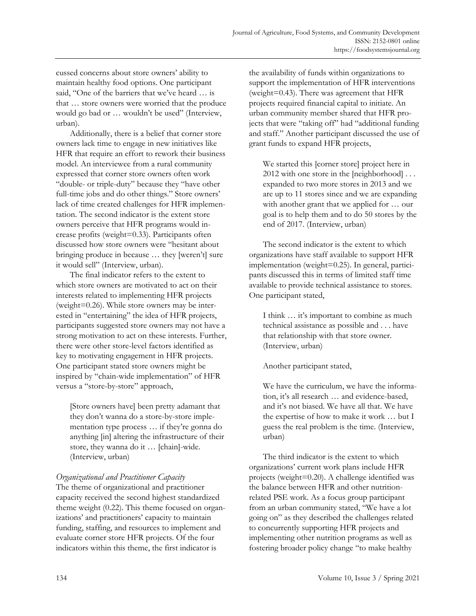cussed concerns about store owners' ability to maintain healthy food options. One participant said, "One of the barriers that we've heard … is that … store owners were worried that the produce would go bad or … wouldn't be used" (Interview, urban).

 Additionally, there is a belief that corner store owners lack time to engage in new initiatives like HFR that require an effort to rework their business model. An interviewee from a rural community expressed that corner store owners often work "double- or triple-duty" because they "have other full-time jobs and do other things." Store owners' lack of time created challenges for HFR implementation. The second indicator is the extent store owners perceive that HFR programs would increase profits (weight=0.33). Participants often discussed how store owners were "hesitant about bringing produce in because … they [weren't] sure it would sell" (Interview, urban).

 The final indicator refers to the extent to which store owners are motivated to act on their interests related to implementing HFR projects (weight=0.26). While store owners may be interested in "entertaining" the idea of HFR projects, participants suggested store owners may not have a strong motivation to act on these interests. Further, there were other store-level factors identified as key to motivating engagement in HFR projects. One participant stated store owners might be inspired by "chain-wide implementation" of HFR versus a "store-by-store" approach,

[Store owners have] been pretty adamant that they don't wanna do a store-by-store implementation type process … if they're gonna do anything [in] altering the infrastructure of their store, they wanna do it … [chain]-wide. (Interview, urban)

# *Organizational and Practitioner Capacity*

The theme of organizational and practitioner capacity received the second highest standardized theme weight (0.22). This theme focused on organizations' and practitioners' capacity to maintain funding, staffing, and resources to implement and evaluate corner store HFR projects. Of the four indicators within this theme, the first indicator is

the availability of funds within organizations to support the implementation of HFR interventions (weight=0.43). There was agreement that HFR projects required financial capital to initiate. An urban community member shared that HFR projects that were "taking off" had "additional funding and staff." Another participant discussed the use of grant funds to expand HFR projects,

We started this [corner store] project here in 2012 with one store in the [neighborhood] . . . expanded to two more stores in 2013 and we are up to 11 stores since and we are expanding with another grant that we applied for … our goal is to help them and to do 50 stores by the end of 2017. (Interview, urban)

 The second indicator is the extent to which organizations have staff available to support HFR implementation (weight=0.25). In general, participants discussed this in terms of limited staff time available to provide technical assistance to stores. One participant stated,

I think … it's important to combine as much technical assistance as possible and . . . have that relationship with that store owner. (Interview, urban)

Another participant stated,

We have the curriculum, we have the information, it's all research … and evidence-based, and it's not biased. We have all that. We have the expertise of how to make it work … but I guess the real problem is the time. (Interview, urban)

 The third indicator is the extent to which organizations' current work plans include HFR projects (weight=0.20). A challenge identified was the balance between HFR and other nutritionrelated PSE work. As a focus group participant from an urban community stated, "We have a lot going on" as they described the challenges related to concurrently supporting HFR projects and implementing other nutrition programs as well as fostering broader policy change "to make healthy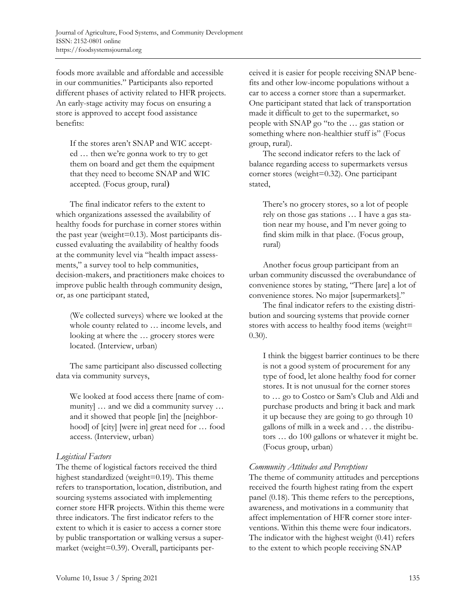foods more available and affordable and accessible in our communities." Participants also reported different phases of activity related to HFR projects. An early-stage activity may focus on ensuring a store is approved to accept food assistance benefits:

If the stores aren't SNAP and WIC accepted … then we're gonna work to try to get them on board and get them the equipment that they need to become SNAP and WIC accepted. (Focus group, rural)

 The final indicator refers to the extent to which organizations assessed the availability of healthy foods for purchase in corner stores within the past year (weight=0.13). Most participants discussed evaluating the availability of healthy foods at the community level via "health impact assessments," a survey tool to help communities, decision-makers, and practitioners make choices to improve public health through community design, or, as one participant stated,

(We collected surveys) where we looked at the whole county related to … income levels, and looking at where the … grocery stores were located. (Interview, urban)

 The same participant also discussed collecting data via community surveys,

We looked at food access there [name of community] … and we did a community survey … and it showed that people [in] the [neighborhood] of [city] [were in] great need for … food access. (Interview, urban)

# *Logistical Factors*

The theme of logistical factors received the third highest standardized (weight=0.19). This theme refers to transportation, location, distribution, and sourcing systems associated with implementing corner store HFR projects. Within this theme were three indicators. The first indicator refers to the extent to which it is easier to access a corner store by public transportation or walking versus a supermarket (weight=0.39). Overall, participants perceived it is easier for people receiving SNAP benefits and other low-income populations without a car to access a corner store than a supermarket. One participant stated that lack of transportation made it difficult to get to the supermarket, so people with SNAP go "to the … gas station or something where non-healthier stuff is" (Focus group, rural).

 The second indicator refers to the lack of balance regarding access to supermarkets versus corner stores (weight=0.32). One participant stated,

There's no grocery stores, so a lot of people rely on those gas stations … I have a gas station near my house, and I'm never going to find skim milk in that place. (Focus group, rural)

 Another focus group participant from an urban community discussed the overabundance of convenience stores by stating, "There [are] a lot of convenience stores. No major [supermarkets]."

 The final indicator refers to the existing distribution and sourcing systems that provide corner stores with access to healthy food items (weight= 0.30).

I think the biggest barrier continues to be there is not a good system of procurement for any type of food, let alone healthy food for corner stores. It is not unusual for the corner stores to … go to Costco or Sam's Club and Aldi and purchase products and bring it back and mark it up because they are going to go through 10 gallons of milk in a week and . . . the distributors … do 100 gallons or whatever it might be. (Focus group, urban)

# *Community Attitudes and Perceptions*

The theme of community attitudes and perceptions received the fourth highest rating from the expert panel (0.18). This theme refers to the perceptions, awareness, and motivations in a community that affect implementation of HFR corner store interventions. Within this theme were four indicators. The indicator with the highest weight (0.41) refers to the extent to which people receiving SNAP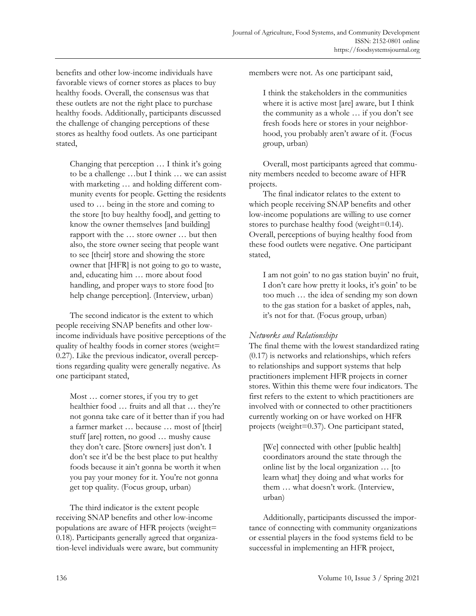benefits and other low-income individuals have favorable views of corner stores as places to buy healthy foods. Overall, the consensus was that these outlets are not the right place to purchase healthy foods. Additionally, participants discussed the challenge of changing perceptions of these stores as healthy food outlets. As one participant stated,

Changing that perception … I think it's going to be a challenge …but I think … we can assist with marketing … and holding different community events for people. Getting the residents used to … being in the store and coming to the store [to buy healthy food], and getting to know the owner themselves [and building] rapport with the … store owner … but then also, the store owner seeing that people want to see [their] store and showing the store owner that [HFR] is not going to go to waste, and, educating him … more about food handling, and proper ways to store food [to help change perception]. (Interview, urban)

 The second indicator is the extent to which people receiving SNAP benefits and other lowincome individuals have positive perceptions of the quality of healthy foods in corner stores (weight= 0.27). Like the previous indicator, overall perceptions regarding quality were generally negative. As one participant stated,

Most … corner stores, if you try to get healthier food … fruits and all that … they're not gonna take care of it better than if you had a farmer market … because … most of [their] stuff [are] rotten, no good … mushy cause they don't care. [Store owners] just don't. I don't see it'd be the best place to put healthy foods because it ain't gonna be worth it when you pay your money for it. You're not gonna get top quality. (Focus group, urban)

 The third indicator is the extent people receiving SNAP benefits and other low-income populations are aware of HFR projects (weight= 0.18). Participants generally agreed that organization-level individuals were aware, but community members were not. As one participant said,

I think the stakeholders in the communities where it is active most [are] aware, but I think the community as a whole … if you don't see fresh foods here or stores in your neighborhood, you probably aren't aware of it. (Focus group, urban)

 Overall, most participants agreed that community members needed to become aware of HFR projects.

 The final indicator relates to the extent to which people receiving SNAP benefits and other low-income populations are willing to use corner stores to purchase healthy food (weight=0.14). Overall, perceptions of buying healthy food from these food outlets were negative. One participant stated,

I am not goin' to no gas station buyin' no fruit, I don't care how pretty it looks, it's goin' to be too much … the idea of sending my son down to the gas station for a basket of apples, nah, it's not for that. (Focus group, urban)

#### *Networks and Relationships*

The final theme with the lowest standardized rating (0.17) is networks and relationships, which refers to relationships and support systems that help practitioners implement HFR projects in corner stores. Within this theme were four indicators. The first refers to the extent to which practitioners are involved with or connected to other practitioners currently working on or have worked on HFR projects (weight=0.37). One participant stated,

[We] connected with other [public health] coordinators around the state through the online list by the local organization … [to learn what] they doing and what works for them … what doesn't work. (Interview, urban)

 Additionally, participants discussed the importance of connecting with community organizations or essential players in the food systems field to be successful in implementing an HFR project,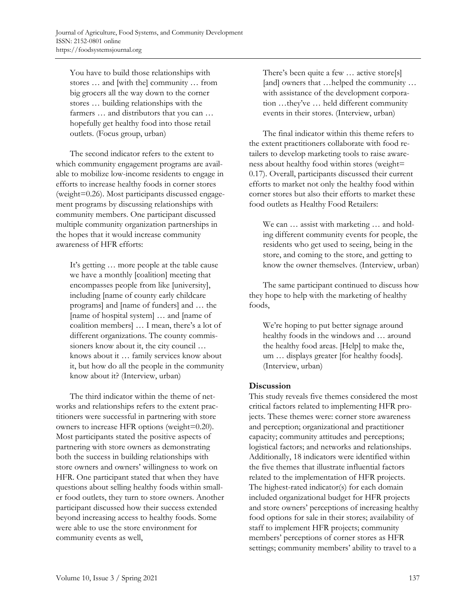You have to build those relationships with stores … and [with the] community … from big grocers all the way down to the corner stores … building relationships with the farmers … and distributors that you can … hopefully get healthy food into those retail outlets. (Focus group, urban)

 The second indicator refers to the extent to which community engagement programs are available to mobilize low-income residents to engage in efforts to increase healthy foods in corner stores (weight=0.26). Most participants discussed engagement programs by discussing relationships with community members. One participant discussed multiple community organization partnerships in the hopes that it would increase community awareness of HFR efforts:

It's getting … more people at the table cause we have a monthly [coalition] meeting that encompasses people from like [university], including [name of county early childcare programs] and [name of funders] and … the [name of hospital system] … and [name of coalition members] … I mean, there's a lot of different organizations. The county commissioners know about it, the city council … knows about it … family services know about it, but how do all the people in the community know about it? (Interview, urban)

 The third indicator within the theme of networks and relationships refers to the extent practitioners were successful in partnering with store owners to increase HFR options (weight=0.20). Most participants stated the positive aspects of partnering with store owners as demonstrating both the success in building relationships with store owners and owners' willingness to work on HFR. One participant stated that when they have questions about selling healthy foods within smaller food outlets, they turn to store owners. Another participant discussed how their success extended beyond increasing access to healthy foods. Some were able to use the store environment for community events as well,

There's been quite a few … active store[s] [and] owners that …helped the community … with assistance of the development corporation …they've … held different community events in their stores. (Interview, urban)

 The final indicator within this theme refers to the extent practitioners collaborate with food retailers to develop marketing tools to raise awareness about healthy food within stores (weight= 0.17). Overall, participants discussed their current efforts to market not only the healthy food within corner stores but also their efforts to market these food outlets as Healthy Food Retailers:

We can … assist with marketing … and holding different community events for people, the residents who get used to seeing, being in the store, and coming to the store, and getting to know the owner themselves. (Interview, urban)

 The same participant continued to discuss how they hope to help with the marketing of healthy foods,

We're hoping to put better signage around healthy foods in the windows and … around the healthy food areas. [Help] to make the, um … displays greater [for healthy foods]. (Interview, urban)

### **Discussion**

This study reveals five themes considered the most critical factors related to implementing HFR projects. These themes were: corner store awareness and perception; organizational and practitioner capacity; community attitudes and perceptions; logistical factors; and networks and relationships. Additionally, 18 indicators were identified within the five themes that illustrate influential factors related to the implementation of HFR projects. The highest-rated indicator(s) for each domain included organizational budget for HFR projects and store owners' perceptions of increasing healthy food options for sale in their stores; availability of staff to implement HFR projects; community members' perceptions of corner stores as HFR settings; community members' ability to travel to a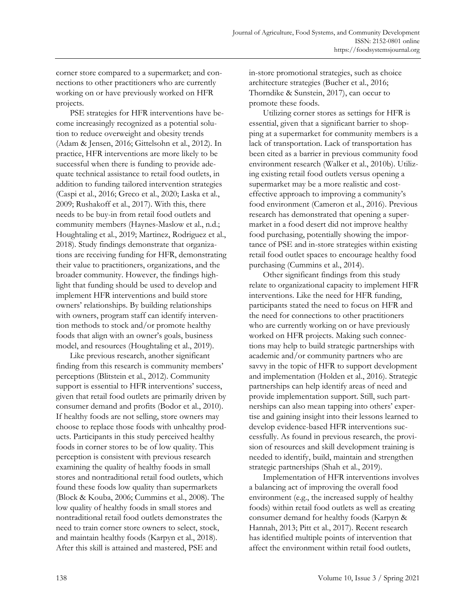corner store compared to a supermarket; and connections to other practitioners who are currently working on or have previously worked on HFR projects.

 PSE strategies for HFR interventions have become increasingly recognized as a potential solution to reduce overweight and obesity trends (Adam & Jensen, 2016; Gittelsohn et al., 2012). In practice, HFR interventions are more likely to be successful when there is funding to provide adequate technical assistance to retail food outlets, in addition to funding tailored intervention strategies (Caspi et al., 2016; Greco et al., 2020; Laska et al., 2009; Rushakoff et al., 2017). With this, there needs to be buy-in from retail food outlets and community members (Haynes-Maslow et al., n.d.; Houghtaling et al., 2019; Martinez, Rodriguez et al., 2018). Study findings demonstrate that organizations are receiving funding for HFR, demonstrating their value to practitioners, organizations, and the broader community. However, the findings highlight that funding should be used to develop and implement HFR interventions and build store owners' relationships. By building relationships with owners, program staff can identify intervention methods to stock and/or promote healthy foods that align with an owner's goals, business model, and resources (Houghtaling et al., 2019).

 Like previous research, another significant finding from this research is community members' perceptions (Blitstein et al., 2012). Community support is essential to HFR interventions' success, given that retail food outlets are primarily driven by consumer demand and profits (Bodor et al., 2010). If healthy foods are not selling, store owners may choose to replace those foods with unhealthy products. Participants in this study perceived healthy foods in corner stores to be of low quality. This perception is consistent with previous research examining the quality of healthy foods in small stores and nontraditional retail food outlets, which found these foods low quality than supermarkets (Block & Kouba, 2006; Cummins et al., 2008). The low quality of healthy foods in small stores and nontraditional retail food outlets demonstrates the need to train corner store owners to select, stock, and maintain healthy foods (Karpyn et al., 2018). After this skill is attained and mastered, PSE and

in-store promotional strategies, such as choice architecture strategies (Bucher et al., 2016; Thorndike & Sunstein, 2017), can occur to promote these foods.

 Utilizing corner stores as settings for HFR is essential, given that a significant barrier to shopping at a supermarket for community members is a lack of transportation. Lack of transportation has been cited as a barrier in previous community food environment research (Walker et al., 2010b). Utilizing existing retail food outlets versus opening a supermarket may be a more realistic and costeffective approach to improving a community's food environment (Cameron et al., 2016). Previous research has demonstrated that opening a supermarket in a food desert did not improve healthy food purchasing, potentially showing the importance of PSE and in-store strategies within existing retail food outlet spaces to encourage healthy food purchasing (Cummins et al., 2014).

 Other significant findings from this study relate to organizational capacity to implement HFR interventions. Like the need for HFR funding, participants stated the need to focus on HFR and the need for connections to other practitioners who are currently working on or have previously worked on HFR projects. Making such connections may help to build strategic partnerships with academic and/or community partners who are savvy in the topic of HFR to support development and implementation (Holden et al., 2016). Strategic partnerships can help identify areas of need and provide implementation support. Still, such partnerships can also mean tapping into others' expertise and gaining insight into their lessons learned to develop evidence-based HFR interventions successfully. As found in previous research, the provision of resources and skill development training is needed to identify, build, maintain and strengthen strategic partnerships (Shah et al., 2019).

 Implementation of HFR interventions involves a balancing act of improving the overall food environment (e.g., the increased supply of healthy foods) within retail food outlets as well as creating consumer demand for healthy foods (Karpyn & Hannah, 2013; Pitt et al., 2017). Recent research has identified multiple points of intervention that affect the environment within retail food outlets,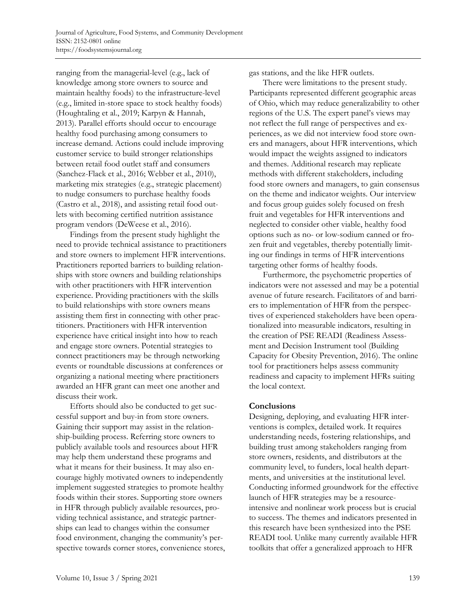ranging from the managerial-level (e.g., lack of knowledge among store owners to source and maintain healthy foods) to the infrastructure-level (e.g., limited in-store space to stock healthy foods) (Houghtaling et al., 2019; Karpyn & Hannah, 2013). Parallel efforts should occur to encourage healthy food purchasing among consumers to increase demand. Actions could include improving customer service to build stronger relationships between retail food outlet staff and consumers (Sanchez-Flack et al., 2016; Webber et al., 2010), marketing mix strategies (e.g., strategic placement) to nudge consumers to purchase healthy foods (Castro et al., 2018), and assisting retail food outlets with becoming certified nutrition assistance program vendors (DeWeese et al., 2016).

 Findings from the present study highlight the need to provide technical assistance to practitioners and store owners to implement HFR interventions. Practitioners reported barriers to building relationships with store owners and building relationships with other practitioners with HFR intervention experience. Providing practitioners with the skills to build relationships with store owners means assisting them first in connecting with other practitioners. Practitioners with HFR intervention experience have critical insight into how to reach and engage store owners. Potential strategies to connect practitioners may be through networking events or roundtable discussions at conferences or organizing a national meeting where practitioners awarded an HFR grant can meet one another and discuss their work.

 Efforts should also be conducted to get successful support and buy-in from store owners. Gaining their support may assist in the relationship-building process. Referring store owners to publicly available tools and resources about HFR may help them understand these programs and what it means for their business. It may also encourage highly motivated owners to independently implement suggested strategies to promote healthy foods within their stores. Supporting store owners in HFR through publicly available resources, providing technical assistance, and strategic partnerships can lead to changes within the consumer food environment, changing the community's perspective towards corner stores, convenience stores, gas stations, and the like HFR outlets.

 There were limitations to the present study. Participants represented different geographic areas of Ohio, which may reduce generalizability to other regions of the U.S. The expert panel's views may not reflect the full range of perspectives and experiences, as we did not interview food store owners and managers, about HFR interventions, which would impact the weights assigned to indicators and themes. Additional research may replicate methods with different stakeholders, including food store owners and managers, to gain consensus on the theme and indicator weights. Our interview and focus group guides solely focused on fresh fruit and vegetables for HFR interventions and neglected to consider other viable, healthy food options such as no- or low-sodium canned or frozen fruit and vegetables, thereby potentially limiting our findings in terms of HFR interventions targeting other forms of healthy foods.

 Furthermore, the psychometric properties of indicators were not assessed and may be a potential avenue of future research. Facilitators of and barriers to implementation of HFR from the perspectives of experienced stakeholders have been operationalized into measurable indicators, resulting in the creation of PSE READI (Readiness Assessment and Decision Instrument tool (Building Capacity for Obesity Prevention, 2016). The online tool for practitioners helps assess community readiness and capacity to implement HFRs suiting the local context.

### **Conclusions**

Designing, deploying, and evaluating HFR interventions is complex, detailed work. It requires understanding needs, fostering relationships, and building trust among stakeholders ranging from store owners, residents, and distributors at the community level, to funders, local health departments, and universities at the institutional level. Conducting informed groundwork for the effective launch of HFR strategies may be a resourceintensive and nonlinear work process but is crucial to success. The themes and indicators presented in this research have been synthesized into the PSE READI tool. Unlike many currently available HFR toolkits that offer a generalized approach to HFR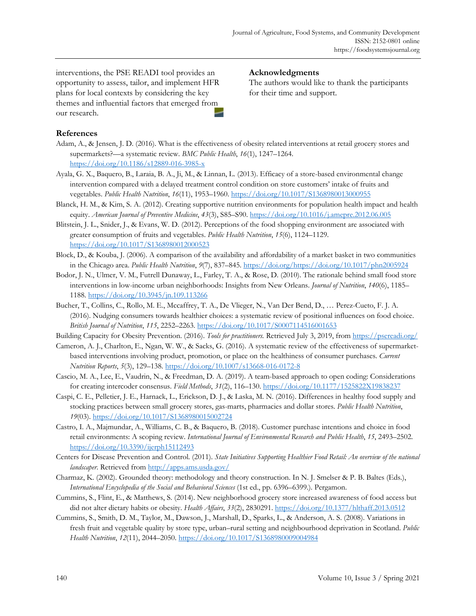interventions, the PSE READI tool provides an opportunity to assess, tailor, and implement HFR plans for local contexts by considering the key themes and influential factors that emerged from our research.

# **Acknowledgments**

The authors would like to thank the participants for their time and support.

### **References**

- Adam, A., & Jensen, J. D. (2016). What is the effectiveness of obesity related interventions at retail grocery stores and supermarkets?—a systematic review. *BMC Public Health*, *16*(1), 1247–1264. https://doi.org/10.1186/s12889-016-3985-x
- Ayala, G. X., Baquero, B., Laraia, B. A., Ji, M., & Linnan, L. (2013). Efficacy of a store-based environmental change intervention compared with a delayed treatment control condition on store customers' intake of fruits and vegetables. *Public Health Nutrition*, *16*(11), 1953–1960. https://doi.org/10.1017/S1368980013000955
- Blanck, H. M., & Kim, S. A. (2012). Creating supportive nutrition environments for population health impact and health equity. *American Journal of Preventive Medicine*, *43*(3), S85–S90. https://doi.org/10.1016/j.amepre.2012.06.005
- Blitstein, J. L., Snider, J., & Evans, W. D. (2012). Perceptions of the food shopping environment are associated with greater consumption of fruits and vegetables. *Public Health Nutrition*, *15*(6), 1124–1129. https://doi.org/10.1017/S1368980012000523
- Block, D., & Kouba, J. (2006). A comparison of the availability and affordability of a market basket in two communities in the Chicago area. *Public Health Nutrition*, *9*(7), 837–845. https://doi.org/https://doi.org/10.1017/phn2005924
- Bodor, J. N., Ulmer, V. M., Futrell Dunaway, L., Farley, T. A., & Rose, D. (2010). The rationale behind small food store interventions in low-income urban neighborhoods: Insights from New Orleans. *Journal of Nutrition*, *140*(6), 1185– 1188. https://doi.org/10.3945/jn.109.113266
- Bucher, T., Collins, C., Rollo, M. E., Mccaffrey, T. A., De Vlieger, N., Van Der Bend, D., … Perez-Cueto, F. J. A. (2016). Nudging consumers towards healthier choices: a systematic review of positional influences on food choice. *British Journal of Nutrition*, *115*, 2252–2263. https://doi.org/10.1017/S0007114516001653

Building Capacity for Obesity Prevention. (2016). *Tools for practitioners.* Retrieved July 3, 2019, from https://psereadi.org/

- Cameron, A. J., Charlton, E., Ngan, W. W., & Sacks, G. (2016). A systematic review of the effectiveness of supermarketbased interventions involving product, promotion, or place on the healthiness of consumer purchases. *Current Nutrition Reports*, *5*(3), 129–138. https://doi.org/10.1007/s13668-016-0172-8
- Cascio, M. A., Lee, E., Vaudrin, N., & Freedman, D. A. (2019). A team-based approach to open coding: Considerations for creating intercoder consensus. *Field Methods*, *31*(2), 116–130. https://doi.org/10.1177/1525822X19838237
- Caspi, C. E., Pelletier, J. E., Harnack, L., Erickson, D. J., & Laska, M. N. (2016). Differences in healthy food supply and stocking practices between small grocery stores, gas-marts, pharmacies and dollar stores. *Public Health Nutrition*, *19*(03). https://doi.org/10.1017/S1368980015002724
- Castro, I. A., Majmundar, A., Williams, C. B., & Baquero, B. (2018). Customer purchase intentions and choice in food retail environments: A scoping review. *International Journal of Environmental Research and Public Health*, *15*, 2493–2502. https://doi.org/10.3390/ijerph15112493
- Centers for Disease Prevention and Control. (2011). *State Initiatives Supporting Healthier Food Retail: An overview of the national landscaper*. Retrieved from http://apps.ams.usda.gov/
- Charmaz, K. (2002). Grounded theory: methodology and theory construction. In N. J. Smelser & P. B. Baltes (Eds.), *International Encyclopedia of the Social and Behavioral Sciences* (1st ed., pp. 6396–6399.). Pergamon.
- Cummins, S., Flint, E., & Matthews, S. (2014). New neighborhood grocery store increased awareness of food access but did not alter dietary habits or obesity. *Health Affairs*, *33*(2), 2830291. https://doi.org/10.1377/hlthaff.2013.0512
- Cummins, S., Smith, D. M., Taylor, M., Dawson, J., Marshall, D., Sparks, L., & Anderson, A. S. (2008). Variations in fresh fruit and vegetable quality by store type, urban–rural setting and neighbourhood deprivation in Scotland. *Public Health Nutrition*, *12*(11), 2044–2050. https://doi.org/10.1017/S1368980009004984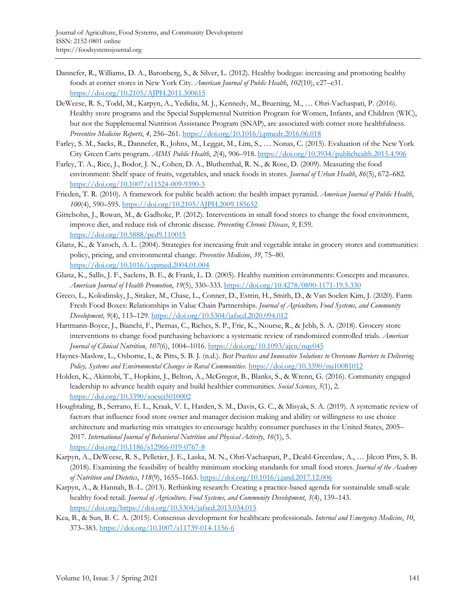- Dannefer, R., Williams, D. A., Baronberg, S., & Silver, L. (2012). Healthy bodegas: increasing and promoting healthy foods at corner stores in New York City. *American Journal of Public Health*, *102*(10), e27–e31. https://doi.org/10.2105/AJPH.2011.300615
- DeWeese, R. S., Todd, M., Karpyn, A., Yedidia, M. J., Kennedy, M., Bruening, M., … Ohri-Vachaspati, P. (2016). Healthy store programs and the Special Supplemental Nutrition Program for Women, Infants, and Children (WIC), but not the Supplemental Nutrition Assistance Program (SNAP), are associated with corner store healthfulness. *Preventive Medicine Reports*, *4*, 256–261. https://doi.org/10.1016/j.pmedr.2016.06.018
- Farley, S. M., Sacks, R., Dannefer, R., Johns, M., Leggat, M., Lim, S., … Nonas, C. (2015). Evaluation of the New York City Green Carts program. *AIMS Public Health*, *2*(4), 906–918. https://doi.org/10.3934/publichealth.2015.4.906
- Farley, T. A., Rice, J., Bodor, J. N., Cohen, D. A., Bluthenthal, R. N., & Rose, D. (2009). Measuring the food environment: Shelf space of fruits, vegetables, and snack foods in stores. *Journal of Urban Health*, *86*(5), 672–682. https://doi.org/10.1007/s11524-009-9390-3
- Frieden, T. R. (2010). A framework for public health action: the health impact pyramid. *American Journal of Public Health*, *100*(4), 590–595. https://doi.org/10.2105/AJPH.2009.185652
- Gittelsohn, J., Rowan, M., & Gadhoke, P. (2012). Interventions in small food stores to change the food environment, improve diet, and reduce risk of chronic disease. *Preventing Chronic Disease*, *9*, E59. https://doi.org/10.5888/pcd9.110015
- Glanz, K., & Yaroch, A. L. (2004). Strategies for increasing fruit and vegetable intake in grocery stores and communities: policy, pricing, and environmental change. *Preventive Medicine*, *39*, 75–80. https://doi.org/10.1016/j.ypmed.2004.01.004
- Glanz, K., Sallis, J. F., Saelens, B. E., & Frank, L. D. (2005). Healthy nutrition environments: Concepts and measures. *American Journal of Health Promotion*, *19*(5), 330–333. https://doi.org/10.4278/0890-1171-19.5.330
- Greco, L., Kolodinsky, J., Sitaker, M., Chase, L., Conner, D., Estrin, H., Smith, D., & Van Soelen Kim, J. (2020). Farm Fresh Food Boxes: Relationships in Value Chain Partnerships. *Journal of Agriculture, Food Systems, and Community Development, 9*(4), 113–129. https://doi.org/10.5304/jafscd.2020.094.012
- Hartmann-Boyce, J., Bianchi, F., Piernas, C., Riches, S. P., Frie, K., Nourse, R., & Jebb, S. A. (2018). Grocery store interventions to change food purchasing behaviors: a systematic review of randomized controlled trials. *American Journal of Clinical Nutrition*, *107*(6), 1004–1016. https://doi.org/10.1093/ajcn/nqy045
- Haynes-Maslow, L., Osborne, I., & Pitts, S. B. J. (n.d.). *Best Practices and Innovative Solutions to Overcome Barriers to Delivering Policy, Systems and Environmental Changes in Rural Communities*. https://doi.org/10.3390/nu10081012
- Holden, K., Akintobi, T., Hopkins, J., Belton, A., McGregor, B., Blanks, S., & Wrenn, G. (2016). Community engaged leadership to advance health equity and build healthier communities. *Social Sciences*, *5*(1), 2. https://doi.org/10.3390/socsci5010002
- Houghtaling, B., Serrano, E. L., Kraak, V. I., Harden, S. M., Davis, G. C., & Misyak, S. A. (2019). A systematic review of factors that influence food store owner and manager decision making and ability or willingness to use choice architecture and marketing mix strategies to encourage healthy consumer purchases in the United States, 2005– 2017. *International Journal of Behavioral Nutrition and Physical Activity*, *16*(1), 5. https://doi.org/10.1186/s12966-019-0767-8
- Karpyn, A., DeWeese, R. S., Pelletier, J. E., Laska, M. N., Ohri-Vachaspati, P., Deahl-Greenlaw, A., … Jilcott Pitts, S. B. (2018). Examining the feasibility of healthy minimum stocking standards for small food stores. *Journal of the Academy of Nutrition and Dietetics*, *118*(9), 1655–1663. https://doi.org/10.1016/j.jand.2017.12.006
- Karpyn, A., & Hannah, B.-L. (2013). Rethinking research: Creating a practice-based agenda for sustainable small-scale healthy food retail. *Journal of Agriculture, Food Systems, and Community Development*, *3*(4), 139–143. https://doi.org/https://doi.org/10.5304/jafscd.2013.034.015
- Kea, B., & Sun, B. C. A. (2015). Consensus development for healthcare professionals. *Internal and Emergency Medicine*, *10*, 373–383. https://doi.org/10.1007/s11739-014-1156-6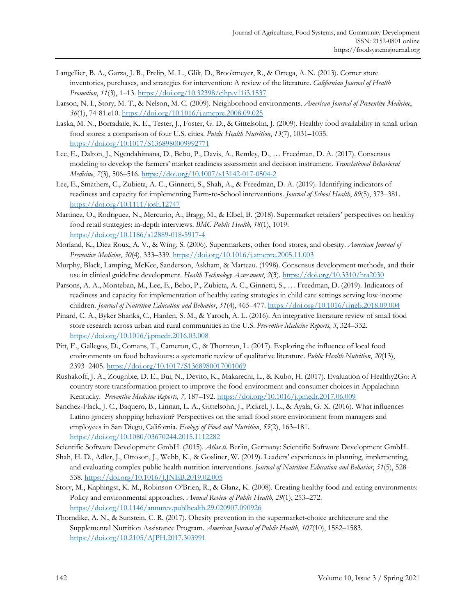- Langellier, B. A., Garza, J. R., Prelip, M. L., Glik, D., Brookmeyer, R., & Ortega, A. N. (2013). Corner store inventories, purchases, and strategies for intervention: A review of the literature. *Californian Journal of Health Promotion*, *11*(3), 1–13. https://doi.org/10.32398/cjhp.v11i3.1537
- Larson, N. I., Story, M. T., & Nelson, M. C. (2009). Neighborhood environments. *American Journal of Preventive Medicine*, *36*(1), 74-81.e10. https://doi.org/10.1016/j.amepre.2008.09.025
- Laska, M. N., Borradaile, K. E., Tester, J., Foster, G. D., & Gittelsohn, J. (2009). Healthy food availability in small urban food stores: a comparison of four U.S. cities. *Public Health Nutrition*, *13*(7), 1031–1035. https://doi.org/10.1017/S1368980009992771
- Lee, E., Dalton, J., Ngendahimana, D., Bebo, P., Davis, A., Remley, D., … Freedman, D. A. (2017). Consensus modeling to develop the farmers' market readiness assessment and decision instrument. *Translational Behavioral Medicine*, *7*(3), 506–516. https://doi.org/10.1007/s13142-017-0504-2
- Lee, E., Smathers, C., Zubieta, A. C., Ginnetti, S., Shah, A., & Freedman, D. A. (2019). Identifying indicators of readiness and capacity for implementing Farm‐to‐School interventions. *Journal of School Health*, *89*(5), 373–381. https://doi.org/10.1111/josh.12747
- Martinez, O., Rodriguez, N., Mercurio, A., Bragg, M., & Elbel, B. (2018). Supermarket retailers' perspectives on healthy food retail strategies: in-depth interviews. *BMC Public Health*, *18*(1), 1019. https://doi.org/10.1186/s12889-018-5917-4
- Morland, K., Diez Roux, A. V., & Wing, S. (2006). Supermarkets, other food stores, and obesity. *American Journal of Preventive Medicine*, *30*(4), 333–339. https://doi.org/10.1016/j.amepre.2005.11.003
- Murphy, Black, Lamping, McKee, Sanderson, Askham, & Marteau. (1998). Consensus development methods, and their use in clinical guideline development. *Health Technology Assessment*, *2*(3). https://doi.org/10.3310/hta2030
- Parsons, A. A., Monteban, M., Lee, E., Bebo, P., Zubieta, A. C., Ginnetti, S., … Freedman, D. (2019). Indicators of readiness and capacity for implementation of healthy eating strategies in child care settings serving low-income children. *Journal of Nutrition Education and Behavior*, *51*(4), 465–477. https://doi.org/10.1016/j.jneb.2018.09.004
- Pinard, C. A., Byker Shanks, C., Harden, S. M., & Yaroch, A. L. (2016). An integrative literature review of small food store research across urban and rural communities in the U.S. *Preventive Medicine Reports*, *3*, 324–332. https://doi.org/10.1016/j.pmedr.2016.03.008
- Pitt, E., Gallegos, D., Comans, T., Cameron, C., & Thornton, L. (2017). Exploring the influence of local food environments on food behaviours: a systematic review of qualitative literature. *Public Health Nutrition*, *20*(13), 2393–2405. https://doi.org/10.1017/S1368980017001069
- Rushakoff, J. A., Zoughbie, D. E., Bui, N., Devito, K., Makarechi, L., & Kubo, H. (2017). Evaluation of Healthy2Go: A country store transformation project to improve the food environment and consumer choices in Appalachian Kentucky. *Preventive Medicine Reports, 7,* 187–192. https://doi.org/10.1016/j.pmedr.2017.06.009
- Sanchez-Flack, J. C., Baquero, B., Linnan, L. A., Gittelsohn, J., Pickrel, J. L., & Ayala, G. X. (2016). What influences Latino grocery shopping behavior? Perspectives on the small food store environment from managers and employees in San Diego, California. *Ecology of Food and Nutrition*, *55*(2), 163–181. https://doi.org/10.1080/03670244.2015.1112282
- Scientific Software Development GmbH. (2015). *Atlas.ti*. Berlin, Germany: Scientific Software Development GmbH.
- Shah, H. D., Adler, J., Ottoson, J., Webb, K., & Gosliner, W. (2019). Leaders' experiences in planning, implementing, and evaluating complex public health nutrition interventions. *Journal of Nutrition Education and Behavior*, *51*(5), 528– 538. https://doi.org/10.1016/J.JNEB.2019.02.005
- Story, M., Kaphingst, K. M., Robinson-O'Brien, R., & Glanz, K. (2008). Creating healthy food and eating environments: Policy and environmental approaches. *Annual Review of Public Health*, *29*(1), 253–272. https://doi.org/10.1146/annurev.publhealth.29.020907.090926
- Thorndike, A. N., & Sunstein, C. R. (2017). Obesity prevention in the supermarket-choice architecture and the Supplemental Nutrition Assistance Program. *American Journal of Public Health*, *107*(10), 1582–1583. https://doi.org/10.2105/AJPH.2017.303991